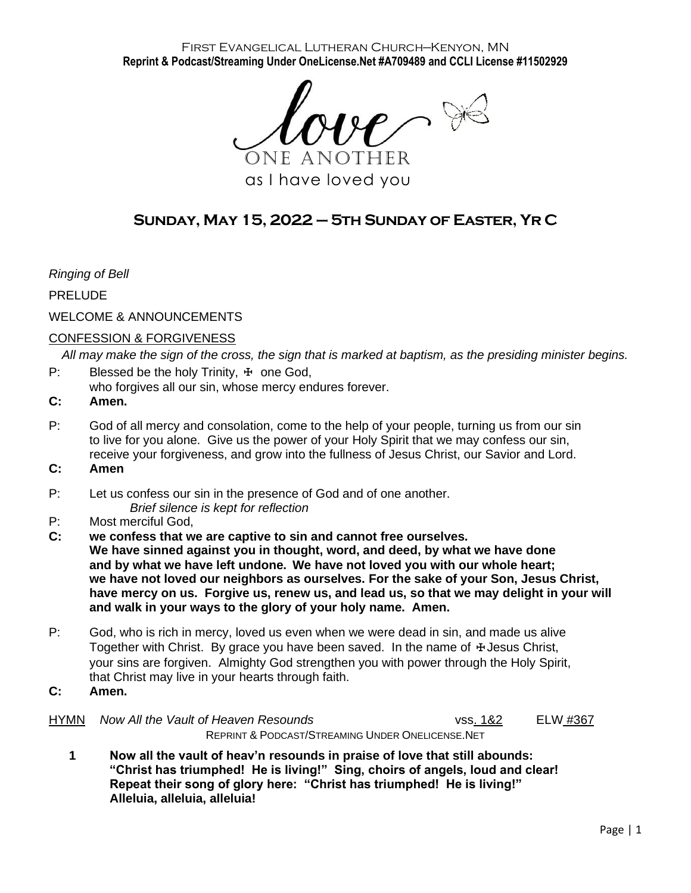#### First Evangelical Lutheran Church—Kenyon, MN **Reprint & Podcast/Streaming Under OneLicense.Net #A709489 and CCLI License #11502929**

 $\mathcal{H} \cap \mathcal{H}$ One another

as I have loved you

# **Sunday, May 15, 2022 – 5th Sunday of Easter, Yr C**

*Ringing of Bell*

PRELUDE

## WELCOME & ANNOUNCEMENTS

## CONFESSION & FORGIVENESS

*All may make the sign of the cross, the sign that is marked at baptism, as the presiding minister begins.*

- P: Blessed be the holy Trinity,  $\pm$  one God,
- who forgives all our sin, whose mercy endures forever.
- **C: Amen.**
- P: God of all mercy and consolation, come to the help of your people, turning us from our sin to live for you alone. Give us the power of your Holy Spirit that we may confess our sin, receive your forgiveness, and grow into the fullness of Jesus Christ, our Savior and Lord.
- **C: Amen**
- P: Let us confess our sin in the presence of God and of one another. *Brief silence is kept for reflection*
- P: Most merciful God,
- **C: we confess that we are captive to sin and cannot free ourselves. We have sinned against you in thought, word, and deed, by what we have done and by what we have left undone. We have not loved you with our whole heart; we have not loved our neighbors as ourselves. For the sake of your Son, Jesus Christ, have mercy on us. Forgive us, renew us, and lead us, so that we may delight in your will and walk in your ways to the glory of your holy name. Amen.**
- P: God, who is rich in mercy, loved us even when we were dead in sin, and made us alive Together with Christ. By grace you have been saved. In the name of  $\pm$  Jesus Christ, your sins are forgiven. Almighty God strengthen you with power through the Holy Spirit, that Christ may live in your hearts through faith.
- **C: Amen.**
- HYMN *Now All the Vault of Heaven Resounds* vss. 1&2 ELW #367 REPRINT & PODCAST/STREAMING UNDER ONELICENSE.NET
	- **1 Now all the vault of heav'n resounds in praise of love that still abounds: "Christ has triumphed! He is living!" Sing, choirs of angels, loud and clear! Repeat their song of glory here: "Christ has triumphed! He is living!" Alleluia, alleluia, alleluia!**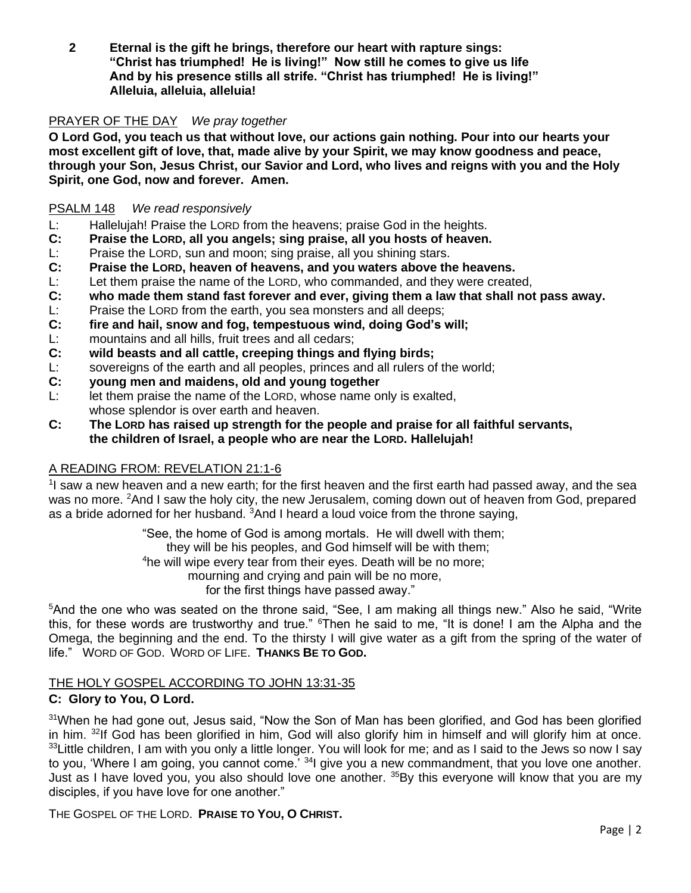**2 Eternal is the gift he brings, therefore our heart with rapture sings: "Christ has triumphed! He is living!" Now still he comes to give us life And by his presence stills all strife. "Christ has triumphed! He is living!" Alleluia, alleluia, alleluia!**

## PRAYER OF THE DAY*We pray together*

**O Lord God, you teach us that without love, our actions gain nothing. Pour into our hearts your most excellent gift of love, that, made alive by your Spirit, we may know goodness and peace, through your Son, Jesus Christ, our Savior and Lord, who lives and reigns with you and the Holy Spirit, one God, now and forever. Amen.**

## PSALM 148 *We read responsively*

- L: Hallelujah! Praise the LORD from the heavens; praise God in the heights.
- **C: Praise the LORD, all you angels; sing praise, all you hosts of heaven.**
- L: Praise the LORD, sun and moon; sing praise, all you shining stars.
- **C: Praise the LORD, heaven of heavens, and you waters above the heavens.**
- L: Let them praise the name of the LORD, who commanded, and they were created,
- **C: who made them stand fast forever and ever, giving them a law that shall not pass away.**
- L: Praise the LORD from the earth, you sea monsters and all deeps;
- **C: fire and hail, snow and fog, tempestuous wind, doing God's will;**
- L: mountains and all hills, fruit trees and all cedars;
- **C: wild beasts and all cattle, creeping things and flying birds;**
- L: sovereigns of the earth and all peoples, princes and all rulers of the world;
- **C: young men and maidens, old and young together**
- L: let them praise the name of the LORD, whose name only is exalted, whose splendor is over earth and heaven.
- **C: The LORD has raised up strength for the people and praise for all faithful servants, the children of Israel, a people who are near the LORD. Hallelujah!**

## A READING FROM: REVELATION 21:1-6

<sup>1</sup>I saw a new heaven and a new earth; for the first heaven and the first earth had passed away, and the sea was no more. <sup>2</sup>And I saw the holy city, the new Jerusalem, coming down out of heaven from God, prepared as a bride adorned for her husband. <sup>3</sup>And I heard a loud voice from the throne saying,

> "See, the home of God is among mortals. He will dwell with them; they will be his peoples, and God himself will be with them; <sup>4</sup>he will wipe every tear from their eyes. Death will be no more; mourning and crying and pain will be no more, for the first things have passed away."

<sup>5</sup>And the one who was seated on the throne said, "See, I am making all things new." Also he said, "Write this, for these words are trustworthy and true." <sup>6</sup>Then he said to me, "It is done! I am the Alpha and the Omega, the beginning and the end. To the thirsty I will give water as a gift from the spring of the water of life." WORD OF GOD. WORD OF LIFE. **THANKS BE TO GOD.**

## THE HOLY GOSPEL ACCORDING TO JOHN 13:31-35

## **C: Glory to You, O Lord.**

<sup>31</sup>When he had gone out, Jesus said, "Now the Son of Man has been glorified, and God has been glorified in him. <sup>32</sup>If God has been glorified in him, God will also glorify him in himself and will glorify him at once.  $33$ Little children, I am with you only a little longer. You will look for me; and as I said to the Jews so now I say to you, 'Where I am going, you cannot come.<sup>' 34</sup>l give you a new commandment, that you love one another. Just as I have loved you, you also should love one another. <sup>35</sup>By this everyone will know that you are my disciples, if you have love for one another."

THE GOSPEL OF THE LORD. **PRAISE TO YOU, O CHRIST.**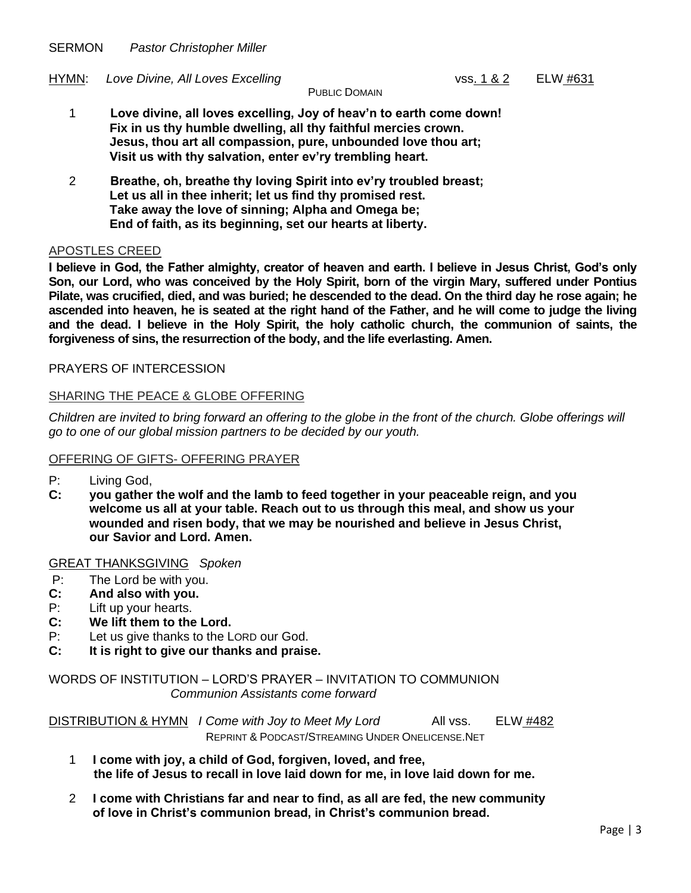SERMON *Pastor Christopher Miller*

HYMN: Love Divine, All Loves Excelling vss. 1 & 2 ELW #631

PUBLIC DOMAIN

- 1 **Love divine, all loves excelling, Joy of heav'n to earth come down! Fix in us thy humble dwelling, all thy faithful mercies crown. Jesus, thou art all compassion, pure, unbounded love thou art; Visit us with thy salvation, enter ev'ry trembling heart.**
- 2 **Breathe, oh, breathe thy loving Spirit into ev'ry troubled breast; Let us all in thee inherit; let us find thy promised rest. Take away the love of sinning; Alpha and Omega be; End of faith, as its beginning, set our hearts at liberty.**

#### APOSTLES CREED

**I believe in God, the Father almighty, creator of heaven and earth. I believe in Jesus Christ, God's only Son, our Lord, who was conceived by the Holy Spirit, born of the virgin Mary, suffered under Pontius Pilate, was crucified, died, and was buried; he descended to the dead. On the third day he rose again; he ascended into heaven, he is seated at the right hand of the Father, and he will come to judge the living and the dead. I believe in the Holy Spirit, the holy catholic church, the communion of saints, the forgiveness of sins, the resurrection of the body, and the life everlasting. Amen.**

## PRAYERS OF INTERCESSION

#### SHARING THE PEACE & GLOBE OFFERING

*Children are invited to bring forward an offering to the globe in the front of the church. Globe offerings will go to one of our global mission partners to be decided by our youth.*

#### OFFERING OF GIFTS- OFFERING PRAYER

- P: Living God,
- **C: you gather the wolf and the lamb to feed together in your peaceable reign, and you welcome us all at your table. Reach out to us through this meal, and show us your wounded and risen body, that we may be nourished and believe in Jesus Christ, our Savior and Lord. Amen.**

#### GREAT THANKSGIVING *Spoken*

- P: The Lord be with you.
- **C: And also with you.**
- P: Lift up your hearts.
- **C: We lift them to the Lord.**
- P: Let us give thanks to the LORD our God.
- **C: It is right to give our thanks and praise.**

WORDS OF INSTITUTION – LORD'S PRAYER – INVITATION TO COMMUNION *Communion Assistants come forward*

DISTRIBUTION & HYMN *I Come with Joy to Meet My Lord* All vss. ELW #482 REPRINT & PODCAST/STREAMING UNDER ONELICENSE.NET

- 1 **I come with joy, a child of God, forgiven, loved, and free, the life of Jesus to recall in love laid down for me, in love laid down for me.**
- 2 **I come with Christians far and near to find, as all are fed, the new community of love in Christ's communion bread, in Christ's communion bread.**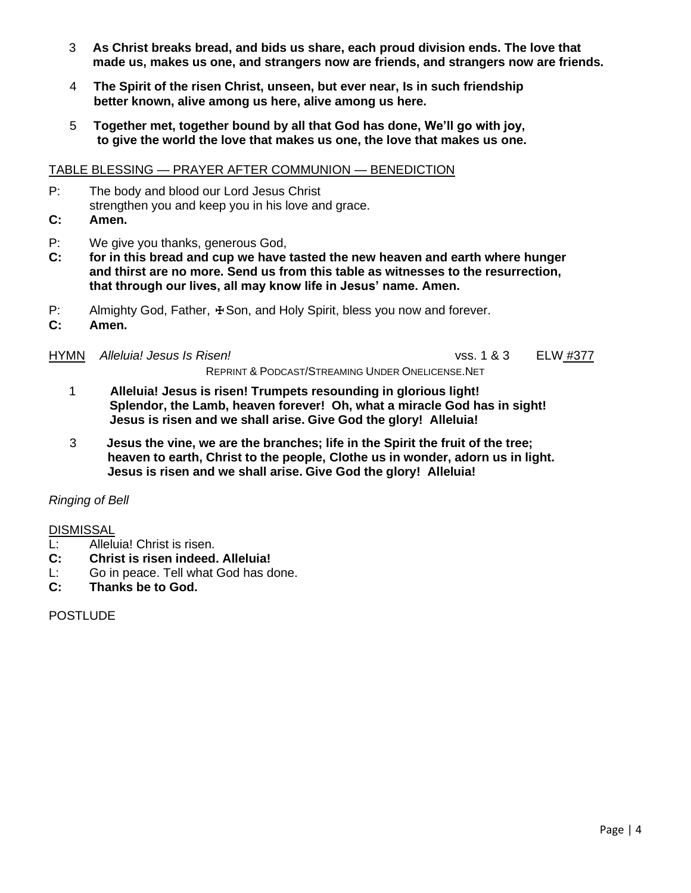- 3 **As Christ breaks bread, and bids us share, each proud division ends. The love that made us, makes us one, and strangers now are friends, and strangers now are friends.**
- 4 **The Spirit of the risen Christ, unseen, but ever near, Is in such friendship better known, alive among us here, alive among us here.**
- 5 **Together met, together bound by all that God has done, We'll go with joy, to give the world the love that makes us one, the love that makes us one.**

## TABLE BLESSING — PRAYER AFTER COMMUNION — BENEDICTION

- P: The body and blood our Lord Jesus Christ strengthen you and keep you in his love and grace.
- **C: Amen.**
- P: We give you thanks, generous God,
- **C: for in this bread and cup we have tasted the new heaven and earth where hunger and thirst are no more. Send us from this table as witnesses to the resurrection, that through our lives, all may know life in Jesus' name. Amen.**
- P: Almighty God, Father,  $\pm$  Son, and Holy Spirit, bless you now and forever.
- **C: Amen.**

#### HYMN *Alleluia! Jesus Is Risen!* vss. 1 & 3 ELW #377

1 **Alleluia! Jesus is risen! Trumpets resounding in glorious light! Splendor, the Lamb, heaven forever! Oh, what a miracle God has in sight!**

REPRINT & PODCAST/STREAMING UNDER ONELICENSE.NET

- **Jesus is risen and we shall arise. Give God the glory! Alleluia!** 3 **Jesus the vine, we are the branches; life in the Spirit the fruit of the tree;**
- **heaven to earth, Christ to the people, Clothe us in wonder, adorn us in light. Jesus is risen and we shall arise. Give God the glory! Alleluia!**

## *Ringing of Bell*

## DISMISSAL

- L: Alleluia! Christ is risen.
- **C: Christ is risen indeed. Alleluia!**
- L: Go in peace. Tell what God has done.
- **C: Thanks be to God.**

POSTLUDE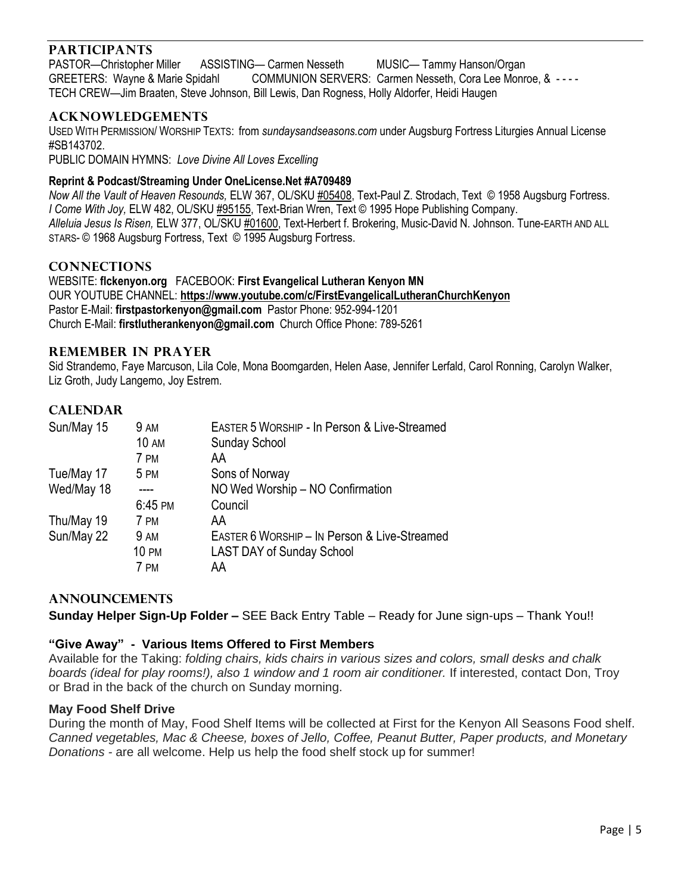# **PARTICIPANTS**

PASTOR—Christopher Miller ASSISTING— Carmen Nesseth MUSIC— Tammy Hanson/Organ GREETERS: Wayne & Marie Spidahl COMMUNION SERVERS: Carmen Nesseth, Cora Lee Monroe, & - - - - TECH CREW—Jim Braaten, Steve Johnson, Bill Lewis, Dan Rogness, Holly Aldorfer, Heidi Haugen

## **ACKNOWLEDGEMENTS**

USED WITH PERMISSION/ WORSHIP TEXTS: from *sundaysandseasons.com* under Augsburg Fortress Liturgies Annual License #SB143702.

PUBLIC DOMAIN HYMNS: *Love Divine All Loves Excelling* 

### **Reprint & Podcast/Streaming Under OneLicense.Net #A709489**

*Now All the Vault of Heaven Resounds,* ELW 367, OL/SKU #05408, Text-Paul Z. Strodach, Text © 1958 Augsburg Fortress. *I Come With Joy,* ELW 482, OL/SKU #95155, Text-Brian Wren, Text © 1995 Hope Publishing Company. *Alleluia Jesus Is Risen,* ELW 377, OL/SKU #01600, Text-Herbert f. Brokering, Music-David N. Johnson. Tune-EARTH AND ALL STARS- © 1968 Augsburg Fortress, Text © 1995 Augsburg Fortress.

### **CONNECTIONS**

WEBSITE: **flckenyon.org** FACEBOOK: **First Evangelical Lutheran Kenyon MN** OUR YOUTUBE CHANNEL: **<https://www.youtube.com/c/FirstEvangelicalLutheranChurchKenyon>** Pastor E-Mail: **[firstpastorkenyon@gmail.com](mailto:firstpastorkenyon@gmail.com)** Pastor Phone: 952-994-1201 Church E-Mail: **[firstlutherankenyon@gmail.com](mailto:firstlutherankenyon@gmail.com)** Church Office Phone: 789-5261

#### **REMEMBER IN PRAYER**

Sid Strandemo, Faye Marcuson, Lila Cole, Mona Boomgarden, Helen Aase, Jennifer Lerfald, Carol Ronning, Carolyn Walker, Liz Groth, Judy Langemo, Joy Estrem.

## **CALENDAR**

| Sun/May 15 | 9 AM         | EASTER 5 WORSHIP - In Person & Live-Streamed |
|------------|--------------|----------------------------------------------|
|            | <b>10 AM</b> | <b>Sunday School</b>                         |
|            | 7 PM         | AA                                           |
| Tue/May 17 | 5 PM         | Sons of Norway                               |
| Wed/May 18 |              | NO Wed Worship - NO Confirmation             |
|            | 6:45 PM      | Council                                      |
| Thu/May 19 | 7 PM         | AA                                           |
| Sun/May 22 | 9 AM         | EASTER 6 WORSHIP - IN Person & Live-Streamed |
|            | <b>10 PM</b> | <b>LAST DAY of Sunday School</b>             |
|            | 7 PM         | AA                                           |

## **ANNOUNCEMENTS**

**Sunday Helper Sign-Up Folder –** SEE Back Entry Table – Ready for June sign-ups – Thank You!!

## **"Give Away" - Various Items Offered to First Members**

Available for the Taking: *folding chairs, kids chairs in various sizes and colors, small desks and chalk boards (ideal for play rooms!), also 1 window and 1 room air conditioner.* If interested, contact Don, Troy or Brad in the back of the church on Sunday morning.

#### **May Food Shelf Drive**

During the month of May, Food Shelf Items will be collected at First for the Kenyon All Seasons Food shelf. *Canned vegetables, Mac & Cheese, boxes of Jello, Coffee, Peanut Butter, Paper products, and Monetary Donations -* are all welcome. Help us help the food shelf stock up for summer!